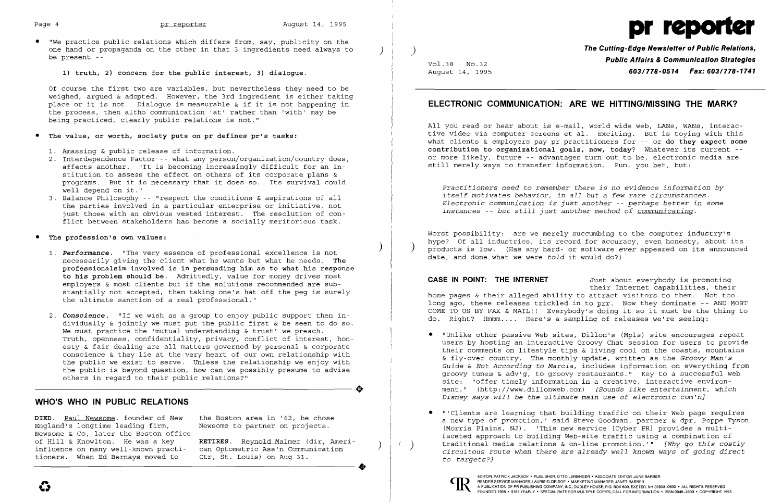

• "We practice public relations which differs from, say, publicity on the one hand or propaganda on the other in that 3 ingredients need always to be present --

**1) truth, 2) concern for the public interest, 3) dialogue.** 

Of course the first two are variables, but nevertheless they need to be weighed, argued & adopted. However, the 3rd ingredient is either taking place or it is not. Dialogue is measurable & if it is not happening in the process, then altho communication 'at' rather than 'with' may be being practiced, clearly public relations is not."

### The value, or worth, society puts on pr defines pr's tasks:

- 1. Amassing & public release of information.
- 2. Interdependence Factor -- what any person/organization/country does, affects another. "It is becoming increasingly difficult for an institution to assess the effect on others of its corporate plans & programs. But it is necessary that it does so. Its survival could well depend on it."  $\overline{a}$
- 3. Balance Philosophy -- "respect the conditions & aspirations of all the parties involved in a particular enterprise or initiative, not just those with an obvious vested interest. The resolution of con flict between stakeholders has become a socially meritorious task.
- **• The profession's own values:** 
	- ) *1. Performance.* "The very essence of professional excellence is not necessarily giving the client what he wants but what he needs. **The professionalsim involved is in persuading him as to what his response to his problem should be.** Admittedly, value for money drives most employers & most clients but if the solutions recommended are substantially not accepted, then taking one's hat off the peg is surely the ultimate sanction of a real professional."
	- 2. **Conscience.** "If we wish as a group to enjoy public support then individually & jointly we must put the public first & be seen to do so. We must practice the 'mutual understanding  $\&$  trust' we preach. Truth, openness, confidentiality, privacy, conflict of interest, honesty & fair dealing are all matters governed by personal & corporate conscience & they lie at the very heart of our own relationship with the public we exist to serve. Unless the relationship we enjoy with the public is beyond question, how can we possibly presume to advise others in regard to their public relations?" ..

**DIED.** Paul Newsome, founder of New the Boston area in '62, he chose England's longtime leading firm, Newsome to partner on projects. Newsome  $\&$  Co, later the Boston office<br>of Hill  $\&$  Knowlton. He was a kev influence on many well-known practi- can Optometric Ass'n Communicioners. When Ed Bernays moved to Ctr, St. Louis) on Aug 31. tioners. When Ed Bernays moved to

RETIRES. Reynold Malmer (dir, Ameri-<br>can Optometric Ass'n Communication ..

**The Cutting-Edge Newsletter of Public Relations, Public Affairs & Communication Strategies** Vo1.38 NO.32 August 14, 1995 **603/778-0514 Fax: 603/778-1741** 

**CASE IN POINT: THE INTERNET** Just about everybody is promoting their Internet capabilities, their home pages & their alleged ability to attract visitors to them. Not too long ago, these releases trickled in to prr. Now they dominate -- AND MOST COME TO US BY FAX & MAIL!! Everybody's doing it so it must be the thing to do. Right? Hmmm.... Here's a sampling of releases we're seeing:

### **WHO'S WHO IN PUBLIC RELATIONS**

## **ELECTRONIC COMMUNICATION: ARE WE HITTING/MISSING THE MARK?**

All you read or hear about is e-mail, world wide web, LANs, WANs, interactive video via computer screens et al. Exciting. But is toying with this what clients & employers pay pr practitioners for -- or **do they expect some contribution to organizational goals, now, today?** Whatever its current or more likely, future -- advantages turn out to be, electronic media are still merely ways to transfer information. Fun, you bet, but:

*Practitioners need* to *remember there is no evidence information by itself motivates behavior, in all but* a *few rare circumstances. Electronic communication is just another* -- *perhaps better in some instances* -- *but still just another method of communicating.* 

Worst possibility: are we merely succumbing to the computer industry's hype? Of all industries, its record for accuracy, even honesty, about its products is low. (Has any hard- or software *ever* appeared on its announced date, and done what we were *told* it would do?)

users by hosting an interactive Groovy Chat session for users to provide their comments on lifestyle tips & living cool on the coasts, mountains & fly-over country. The monthly update, written as the *Groovy Man's Guide* & *Not According* to *Marcia,* includes information on everything from groovy tunes & adv'g, to groovy restaurants." Key to a successful web site: "offer timely information in a creative, interactive environment." (http://www.dillonweb.com) *[Sounds like entertainment, which* 

- • "Unlike other passive Web sites, Dillon's (Mpls) site encourages repeat *Disney says will be the ultimate main use* of *electronic com'n]*
- • "'Clients are learning that building traffic on their Web page requires to *targets?]*



 $\left($ 

a new type of promotion,' said Steve Goodman, partner & dpr, Poppe Tyson (Morris Plains, NJ). 'This new service [Cyber PRJ provides a multifaceted approach to building Web-site traffic using a combination of ) traditional media relations & on-line promotion. '" *[Why go this costly circuitous route when there are already well known ways of going direct*